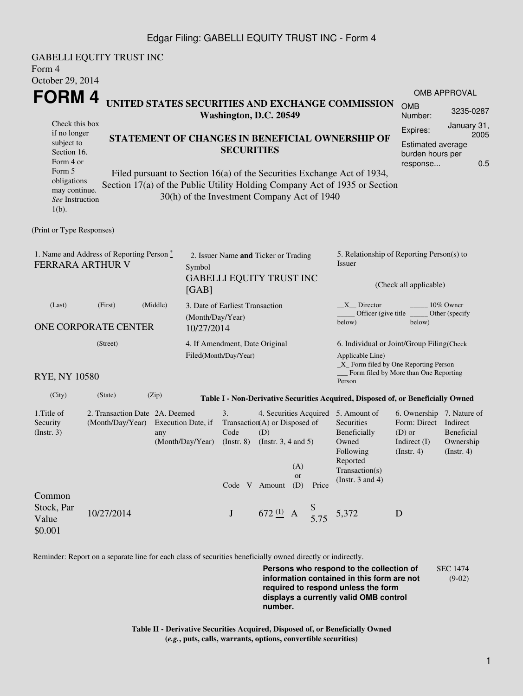## Edgar Filing: GABELLI EQUITY TRUST INC - Form 4

GABELLI EQUITY TRUST INC Form 4 October 29, 2014 **FORM 4** Check this box if no longer subject to Section 16. Form 4 or Form 5 obligations may continue. *See* Instruction 1(b). **UNITED STATES SECURITIES AND EXCHANGE COMMISSION Washington, D.C. 20549 STATEMENT OF CHANGES IN BENEFICIAL OWNERSHIP OF SECURITIES** Filed pursuant to Section 16(a) of the Securities Exchange Act of 1934, Section 17(a) of the Public Utility Holding Company Act of 1935 or Section 30(h) of the Investment Company Act of 1940 OMB APPROVAL OMB Number: 3235-0287 Expires: January 31, 2005 Estimated average burden hours per response... 0.5 (Print or Type Responses) 1. Name and Address of Reporting Person  $\degree$ FERRARA ARTHUR V 2. Issuer Name **and** Ticker or Trading Symbol GABELLI EQUITY TRUST INC [GAB] 5. Relationship of Reporting Person(s) to Issuer (Check all applicable) \_X\_\_ Director \_\_\_\_\_\_\_\_ 10% Owner Officer (give title below) Other (specify below) (Last) (First) (Middle) ONE CORPORATE CENTER 3. Date of Earliest Transaction (Month/Day/Year) 10/27/2014 (Street) RYE, NY 10580 4. If Amendment, Date Original Filed(Month/Day/Year) 6. Individual or Joint/Group Filing(Check Applicable Line) \_X\_ Form filed by One Reporting Person \_\_\_ Form filed by More than One Reporting Person (City) (State) (Zip) **Table I - Non-Derivative Securities Acquired, Disposed of, or Beneficially Owned** 1.Title of Security (Instr. 3) 2. Transaction Date 2A. Deemed (Month/Day/Year) Execution Date, if any (Month/Day/Year) 3. Transaction (A) or Disposed of Code (Instr. 8) 4. Securities Acquired 5. Amount of (D) (Instr. 3, 4 and 5) **Securities** Beneficially Owned Following Reported Transaction(s) (Instr. 3 and 4) 6. Ownership 7. Nature of Form: Direct Indirect (D) or Indirect (I) (Instr. 4) Beneficial Ownership (Instr. 4) Code V Amount (D) (A) or Price Common Stock, Par Value \$0.001 10/27/2014 **J** 672 $\frac{(1)}{2}$  A  $\frac{1}{5.75}$  5,372 **D** 

Reminder: Report on a separate line for each class of securities beneficially owned directly or indirectly.

**Persons who respond to the collection of information contained in this form are not required to respond unless the form displays a currently valid OMB control number.** SEC 1474 (9-02)

**Table II - Derivative Securities Acquired, Disposed of, or Beneficially Owned (***e.g.***, puts, calls, warrants, options, convertible securities)**